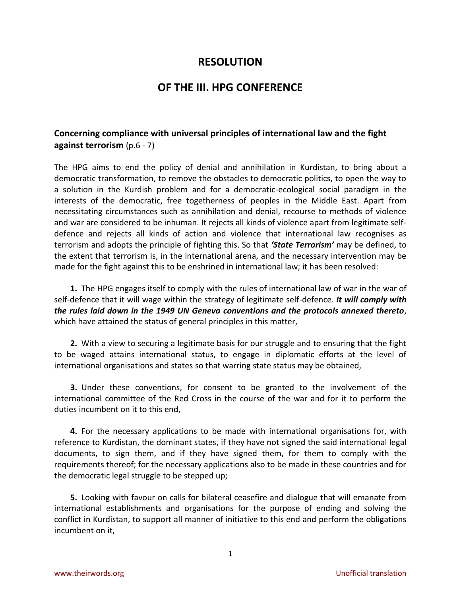# **RESOLUTION**

# **OF THE III. HPG CONFERENCE**

## **Concerning compliance with universal principles of international law and the fight against terrorism** (p.6 - 7)

The HPG aims to end the policy of denial and annihilation in Kurdistan, to bring about a democratic transformation, to remove the obstacles to democratic politics, to open the way to a solution in the Kurdish problem and for a democratic-ecological social paradigm in the interests of the democratic, free togetherness of peoples in the Middle East. Apart from necessitating circumstances such as annihilation and denial, recourse to methods of violence and war are considered to be inhuman. It rejects all kinds of violence apart from legitimate selfdefence and rejects all kinds of action and violence that international law recognises as terrorism and adopts the principle of fighting this. So that *'State Terrorism'* may be defined, to the extent that terrorism is, in the international arena, and the necessary intervention may be made for the fight against this to be enshrined in international law; it has been resolved:

**1.** The HPG engages itself to comply with the rules of international law of war in the war of self-defence that it will wage within the strategy of legitimate self-defence. *It will comply with the rules laid down in the 1949 UN Geneva conventions and the protocols annexed thereto*, which have attained the status of general principles in this matter,

**2.** With a view to securing a legitimate basis for our struggle and to ensuring that the fight to be waged attains international status, to engage in diplomatic efforts at the level of international organisations and states so that warring state status may be obtained,

**3.** Under these conventions, for consent to be granted to the involvement of the international committee of the Red Cross in the course of the war and for it to perform the duties incumbent on it to this end,

**4.** For the necessary applications to be made with international organisations for, with reference to Kurdistan, the dominant states, if they have not signed the said international legal documents, to sign them, and if they have signed them, for them to comply with the requirements thereof; for the necessary applications also to be made in these countries and for the democratic legal struggle to be stepped up;

**5.** Looking with favour on calls for bilateral ceasefire and dialogue that will emanate from international establishments and organisations for the purpose of ending and solving the conflict in Kurdistan, to support all manner of initiative to this end and perform the obligations incumbent on it,

1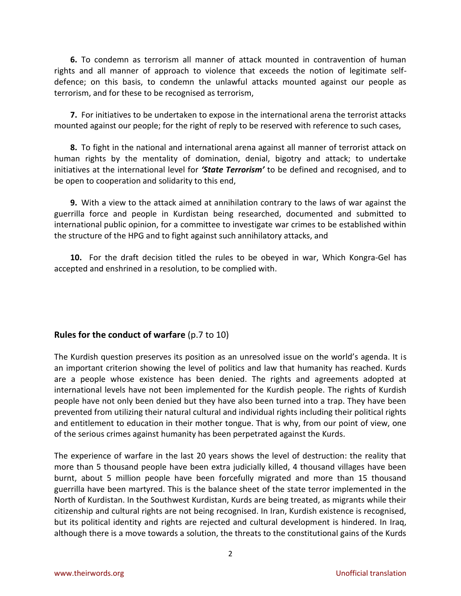**6.** To condemn as terrorism all manner of attack mounted in contravention of human rights and all manner of approach to violence that exceeds the notion of legitimate selfdefence; on this basis, to condemn the unlawful attacks mounted against our people as terrorism, and for these to be recognised as terrorism,

**7.** For initiatives to be undertaken to expose in the international arena the terrorist attacks mounted against our people; for the right of reply to be reserved with reference to such cases,

**8.** To fight in the national and international arena against all manner of terrorist attack on human rights by the mentality of domination, denial, bigotry and attack; to undertake initiatives at the international level for *'State Terrorism'* to be defined and recognised, and to be open to cooperation and solidarity to this end,

**9.** With a view to the attack aimed at annihilation contrary to the laws of war against the guerrilla force and people in Kurdistan being researched, documented and submitted to international public opinion, for a committee to investigate war crimes to be established within the structure of the HPG and to fight against such annihilatory attacks, and

**10.** For the draft decision titled the rules to be obeyed in war, Which Kongra-Gel has accepted and enshrined in a resolution, to be complied with.

## **Rules for the conduct of warfare** (p.7 to 10)

The Kurdish question preserves its position as an unresolved issue on the world's agenda. It is an important criterion showing the level of politics and law that humanity has reached. Kurds are a people whose existence has been denied. The rights and agreements adopted at international levels have not been implemented for the Kurdish people. The rights of Kurdish people have not only been denied but they have also been turned into a trap. They have been prevented from utilizing their natural cultural and individual rights including their political rights and entitlement to education in their mother tongue. That is why, from our point of view, one of the serious crimes against humanity has been perpetrated against the Kurds.

The experience of warfare in the last 20 years shows the level of destruction: the reality that more than 5 thousand people have been extra judicially killed, 4 thousand villages have been burnt, about 5 million people have been forcefully migrated and more than 15 thousand guerrilla have been martyred. This is the balance sheet of the state terror implemented in the North of Kurdistan. In the Southwest Kurdistan, Kurds are being treated, as migrants while their citizenship and cultural rights are not being recognised. In Iran, Kurdish existence is recognised, but its political identity and rights are rejected and cultural development is hindered. In Iraq, although there is a move towards a solution, the threats to the constitutional gains of the Kurds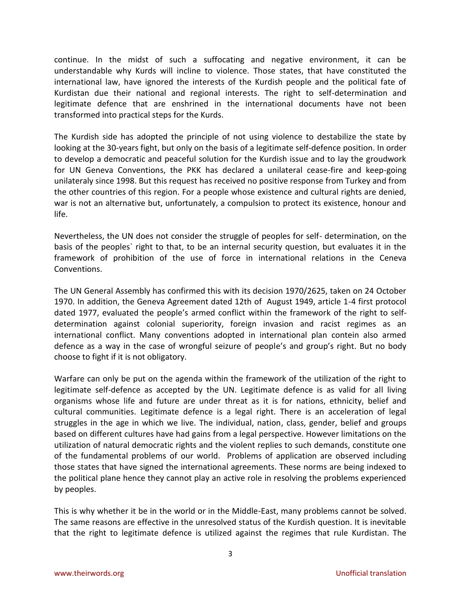continue. In the midst of such a suffocating and negative environment, it can be understandable why Kurds will incline to violence. Those states, that have constituted the international law, have ignored the interests of the Kurdish people and the political fate of Kurdistan due their national and regional interests. The right to self-determination and legitimate defence that are enshrined in the international documents have not been transformed into practical steps for the Kurds.

The Kurdish side has adopted the principle of not using violence to destabilize the state by looking at the 30-years fight, but only on the basis of a legitimate self-defence position. In order to develop a democratic and peaceful solution for the Kurdish issue and to lay the groudwork for UN Geneva Conventions, the PKK has declared a unilateral cease-fire and keep-going unilateraly since 1998. But this request has received no positive response from Turkey and from the other countries of this region. For a people whose existence and cultural rights are denied, war is not an alternative but, unfortunately, a compulsion to protect its existence, honour and life.

Nevertheless, the UN does not consider the struggle of peoples for self- determination, on the basis of the peoples` right to that, to be an internal security question, but evaluates it in the framework of prohibition of the use of force in international relations in the Ceneva Conventions.

The UN General Assembly has confirmed this with its decision 1970/2625, taken on 24 October 1970. In addition, the Geneva Agreement dated 12th of August 1949, article 1-4 first protocol dated 1977, evaluated the people's armed conflict within the framework of the right to selfdetermination against colonial superiority, foreign invasion and racist regimes as an international conflict. Many conventions adopted in international plan contein also armed defence as a way in the case of wrongful seizure of people's and group's right. But no body choose to fight if it is not obligatory.

Warfare can only be put on the agenda within the framework of the utilization of the right to legitimate self-defence as accepted by the UN. Legitimate defence is as valid for all living organisms whose life and future are under threat as it is for nations, ethnicity, belief and cultural communities. Legitimate defence is a legal right. There is an acceleration of legal struggles in the age in which we live. The individual, nation, class, gender, belief and groups based on different cultures have had gains from a legal perspective. However limitations on the utilization of natural democratic rights and the violent replies to such demands, constitute one of the fundamental problems of our world. Problems of application are observed including those states that have signed the international agreements. These norms are being indexed to the political plane hence they cannot play an active role in resolving the problems experienced by peoples.

This is why whether it be in the world or in the Middle-East, many problems cannot be solved. The same reasons are effective in the unresolved status of the Kurdish question. It is inevitable that the right to legitimate defence is utilized against the regimes that rule Kurdistan. The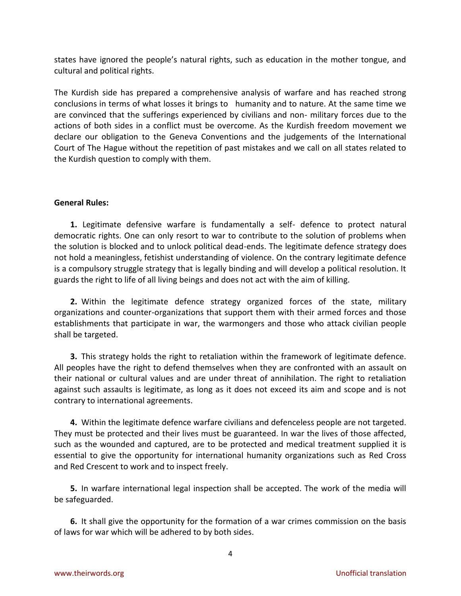states have ignored the people's natural rights, such as education in the mother tongue, and cultural and political rights.

The Kurdish side has prepared a comprehensive analysis of warfare and has reached strong conclusions in terms of what losses it brings to humanity and to nature. At the same time we are convinced that the sufferings experienced by civilians and non- military forces due to the actions of both sides in a conflict must be overcome. As the Kurdish freedom movement we declare our obligation to the Geneva Conventions and the judgements of the International Court of The Hague without the repetition of past mistakes and we call on all states related to the Kurdish question to comply with them.

## **General Rules:**

**1.** Legitimate defensive warfare is fundamentally a self- defence to protect natural democratic rights. One can only resort to war to contribute to the solution of problems when the solution is blocked and to unlock political dead-ends. The legitimate defence strategy does not hold a meaningless, fetishist understanding of violence. On the contrary legitimate defence is a compulsory struggle strategy that is legally binding and will develop a political resolution. It guards the right to life of all living beings and does not act with the aim of killing.

**2.** Within the legitimate defence strategy organized forces of the state, military organizations and counter-organizations that support them with their armed forces and those establishments that participate in war, the warmongers and those who attack civilian people shall be targeted.

**3.** This strategy holds the right to retaliation within the framework of legitimate defence. All peoples have the right to defend themselves when they are confronted with an assault on their national or cultural values and are under threat of annihilation. The right to retaliation against such assaults is legitimate, as long as it does not exceed its aim and scope and is not contrary to international agreements.

**4.** Within the legitimate defence warfare civilians and defenceless people are not targeted. They must be protected and their lives must be guaranteed. In war the lives of those affected, such as the wounded and captured, are to be protected and medical treatment supplied it is essential to give the opportunity for international humanity organizations such as Red Cross and Red Crescent to work and to inspect freely.

**5.** In warfare international legal inspection shall be accepted. The work of the media will be safeguarded.

**6.** It shall give the opportunity for the formation of a war crimes commission on the basis of laws for war which will be adhered to by both sides.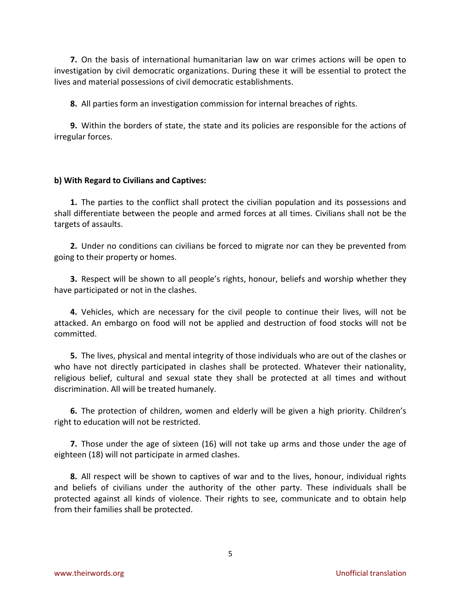**7.** On the basis of international humanitarian law on war crimes actions will be open to investigation by civil democratic organizations. During these it will be essential to protect the lives and material possessions of civil democratic establishments.

**8.** All parties form an investigation commission for internal breaches of rights.

**9.** Within the borders of state, the state and its policies are responsible for the actions of irregular forces.

### **b) With Regard to Civilians and Captives:**

**1.** The parties to the conflict shall protect the civilian population and its possessions and shall differentiate between the people and armed forces at all times. Civilians shall not be the targets of assaults.

**2.** Under no conditions can civilians be forced to migrate nor can they be prevented from going to their property or homes.

**3.** Respect will be shown to all people's rights, honour, beliefs and worship whether they have participated or not in the clashes.

**4.** Vehicles, which are necessary for the civil people to continue their lives, will not be attacked. An embargo on food will not be applied and destruction of food stocks will not be committed.

**5.** The lives, physical and mental integrity of those individuals who are out of the clashes or who have not directly participated in clashes shall be protected. Whatever their nationality, religious belief, cultural and sexual state they shall be protected at all times and without discrimination. All will be treated humanely.

**6.** The protection of children, women and elderly will be given a high priority. Children's right to education will not be restricted.

**7.** Those under the age of sixteen (16) will not take up arms and those under the age of eighteen (18) will not participate in armed clashes.

**8.** All respect will be shown to captives of war and to the lives, honour, individual rights and beliefs of civilians under the authority of the other party. These individuals shall be protected against all kinds of violence. Their rights to see, communicate and to obtain help from their families shall be protected.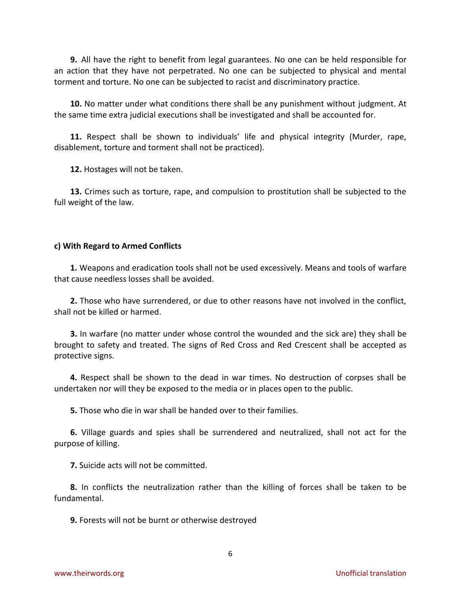**9.** All have the right to benefit from legal guarantees. No one can be held responsible for an action that they have not perpetrated. No one can be subjected to physical and mental torment and torture. No one can be subjected to racist and discriminatory practice.

**10.** No matter under what conditions there shall be any punishment without judgment. At the same time extra judicial executions shall be investigated and shall be accounted for.

**11.** Respect shall be shown to individuals' life and physical integrity (Murder, rape, disablement, torture and torment shall not be practiced).

**12.** Hostages will not be taken.

**13.** Crimes such as torture, rape, and compulsion to prostitution shall be subjected to the full weight of the law.

#### **c) With Regard to Armed Conflicts**

**1.** Weapons and eradication tools shall not be used excessively. Means and tools of warfare that cause needless losses shall be avoided.

**2.** Those who have surrendered, or due to other reasons have not involved in the conflict, shall not be killed or harmed.

**3.** In warfare (no matter under whose control the wounded and the sick are) they shall be brought to safety and treated. The signs of Red Cross and Red Crescent shall be accepted as protective signs.

**4.** Respect shall be shown to the dead in war times. No destruction of corpses shall be undertaken nor will they be exposed to the media or in places open to the public.

**5.** Those who die in war shall be handed over to their families.

**6.** Village guards and spies shall be surrendered and neutralized, shall not act for the purpose of killing.

**7.** Suicide acts will not be committed.

**8.** In conflicts the neutralization rather than the killing of forces shall be taken to be fundamental.

**9.** Forests will not be burnt or otherwise destroyed